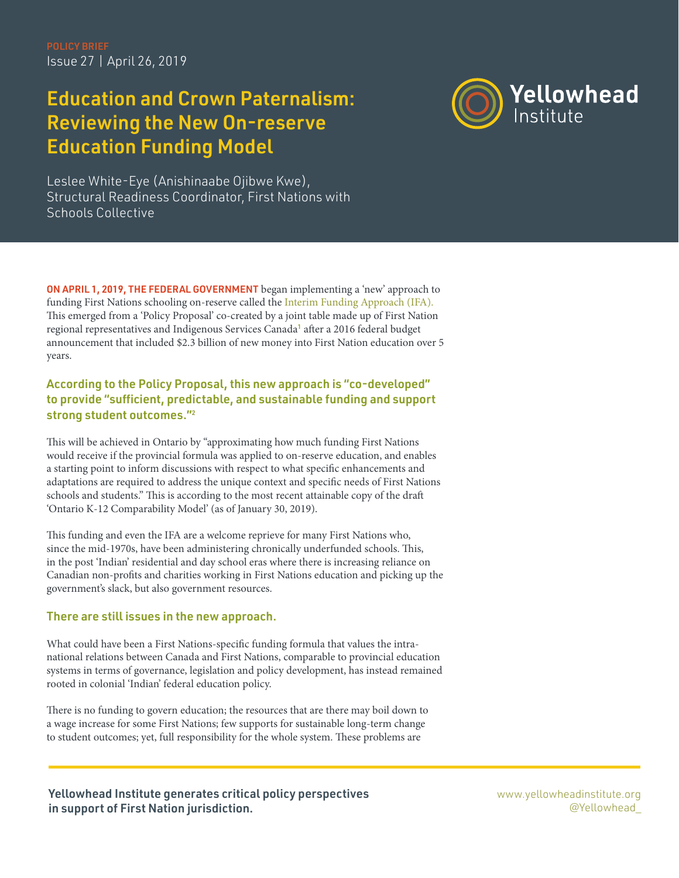# Education and Crown Paternalism: Reviewing the New On-reserve Education Funding Model



Leslee White-Eye (Anishinaabe Ojibwe Kwe), Structural Readiness Coordinator, First Nations with Schools Collective

ON APRIL 1, 2019, THE FEDERAL GOVERNMENT began implementing a 'new' approach to funding First Nations schooling on-reserve called the [Interim Funding Approach \(IFA\).](https://www.afn.ca/wp-content/uploads/2016/11/POLICY_PROPOSAL_-_TRANSFORMING_FIRST_NATIONS_EDUCATION_-_FALL_2017-V15-AFN-FINAL.pdf)  This emerged from a 'Policy Proposal' co-created by a joint table made up of First Nation regional representatives and Indigenous Services Canada<sup>1</sup> after a 2016 federal budget announcement that included \$2.3 billion of new money into First Nation education over 5 years.

## According to the Policy Proposal, this new approach is "co-developed" to provide "sufficient, predictable, and sustainable funding and support strong student outcomes."2

This will be achieved in Ontario by "approximating how much funding First Nations would receive if the provincial formula was applied to on-reserve education, and enables a starting point to inform discussions with respect to what specific enhancements and adaptations are required to address the unique context and specific needs of First Nations schools and students." This is according to the most recent attainable copy of the draft 'Ontario K-12 Comparability Model' (as of January 30, 2019).

This funding and even the IFA are a welcome reprieve for many First Nations who, since the mid-1970s, have been administering chronically underfunded schools. This, in the post 'Indian' residential and day school eras where there is increasing reliance on Canadian non-profits and charities working in First Nations education and picking up the government's slack, but also government resources.

#### There are still issues in the new approach.

What could have been a First Nations-specific funding formula that values the intranational relations between Canada and First Nations, comparable to provincial education systems in terms of governance, legislation and policy development, has instead remained rooted in colonial 'Indian' federal education policy.

There is no funding to govern education; the resources that are there may boil down to a wage increase for some First Nations; few supports for sustainable long-term change to student outcomes; yet, full responsibility for the whole system. These problems are

Yellowhead Institute generates critical policy perspectives in support of First Nation jurisdiction.

[www.yellowheadinstitute.org](http://www.yellowheadinstitute.org) [@Yellowhead\\_](http://www.twitter.com/Yellowhead_)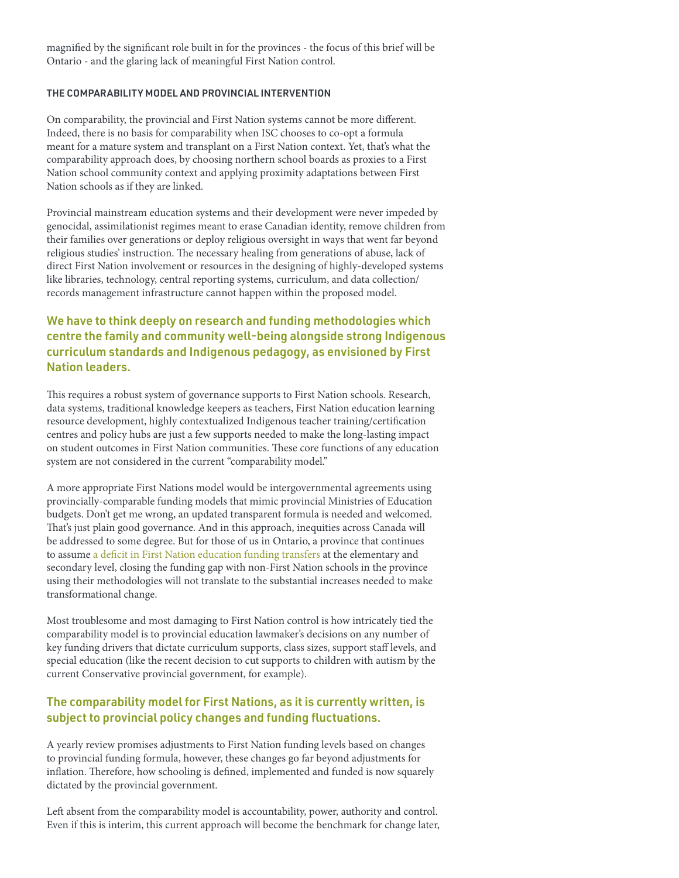magnified by the significant role built in for the provinces - the focus of this brief will be Ontario - and the glaring lack of meaningful First Nation control.

#### THE COMPARABILITY MODEL AND PROVINCIAL INTERVENTION

On comparability, the provincial and First Nation systems cannot be more different. Indeed, there is no basis for comparability when ISC chooses to co-opt a formula meant for a mature system and transplant on a First Nation context. Yet, that's what the comparability approach does, by choosing northern school boards as proxies to a First Nation school community context and applying proximity adaptations between First Nation schools as if they are linked.

Provincial mainstream education systems and their development were never impeded by genocidal, assimilationist regimes meant to erase Canadian identity, remove children from their families over generations or deploy religious oversight in ways that went far beyond religious studies' instruction. The necessary healing from generations of abuse, lack of direct First Nation involvement or resources in the designing of highly-developed systems like libraries, technology, central reporting systems, curriculum, and data collection/ records management infrastructure cannot happen within the proposed model.

## We have to think deeply on research and funding methodologies which centre the family and community well-being alongside strong Indigenous curriculum standards and Indigenous pedagogy, as envisioned by First Nation leaders.

This requires a robust system of governance supports to First Nation schools. Research, data systems, traditional knowledge keepers as teachers, First Nation education learning resource development, highly contextualized Indigenous teacher training/certification centres and policy hubs are just a few supports needed to make the long-lasting impact on student outcomes in First Nation communities. These core functions of any education system are not considered in the current "comparability model."

A more appropriate First Nations model would be intergovernmental agreements using provincially-comparable funding models that mimic provincial Ministries of Education budgets. Don't get me wrong, an updated transparent formula is needed and welcomed. That's just plain good governance. And in this approach, inequities across Canada will be addressed to some degree. But for those of us in Ontario, a province that continues to assume [a deficit in First Nation education funding transfers](https://mowatcentre.ca/come-federal-budget-time-spare-a-thought-for-canadas-unprincipled-transfers/) at the elementary and secondary level, closing the funding gap with non-First Nation schools in the province using their methodologies will not translate to the substantial increases needed to make transformational change.

Most troublesome and most damaging to First Nation control is how intricately tied the comparability model is to provincial education lawmaker's decisions on any number of key funding drivers that dictate curriculum supports, class sizes, support staff levels, and special education (like the recent decision to cut supports to children with autism by the current Conservative provincial government, for example).

#### The comparability model for First Nations, as it is currently written, is subject to provincial policy changes and funding fluctuations.

A yearly review promises adjustments to First Nation funding levels based on changes to provincial funding formula, however, these changes go far beyond adjustments for inflation. Therefore, how schooling is defined, implemented and funded is now squarely dictated by the provincial government.

Left absent from the comparability model is accountability, power, authority and control. Even if this is interim, this current approach will become the benchmark for change later,